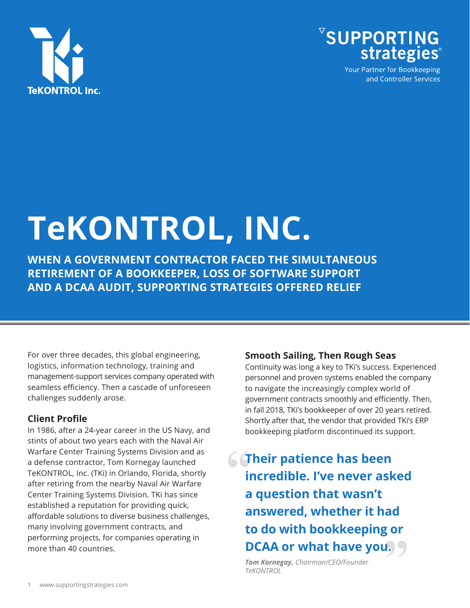



Your Partner for Bookkeeping and Controller Services

# **TeKONTROL, INC.**

**WHEN A GOVERNMENT CONTRACTOR FACED THE SIMULTANEOUS RETIREMENT OF A BOOKKEEPER, LOSS OF SOFTWARE SUPPORT AND A DCAA AUDIT, SUPPORTING STRATEGIES OFFERED RELIEF**

For over three decades, this global engineering, logistics, information technology, training and management-support services company operated with seamless efficiency. Then a cascade of unforeseen challenges suddenly arose.

## **Client Profile**

In 1986, after a 24-year career in the US Navy, and stints of about two years each with the Naval Air Warfare Center Training Systems Division and as a defense contractor, Tom Kornegay launched TeKONTROL, Inc. (TKi) in Orlando, Florida, shortly after retiring from the nearby Naval Air Warfare Center Training Systems Division. TKi has since established a reputation for providing quick, affordable solutions to diverse business challenges, many involving government contracts, and performing projects, for companies operating in more than 40 countries.

#### **Smooth Sailing, Then Rough Seas**

Continuity was long a key to TKi's success. Experienced personnel and proven systems enabled the company to navigate the increasingly complex world of government contracts smoothly and efficiently. Then, in fall 2018, TKi's bookkeeper of over 20 years retired. Shortly after that, the vendor that provided TKi's ERP bookkeeping platform discontinued its support.

**Their patience has been incredible. I've never asked a question that wasn't answered, whether it had to do with bookkeeping or DCAA or what have you.** 

*Tom Kornegay, Chairman/CEO/Founder TeKONTROL*